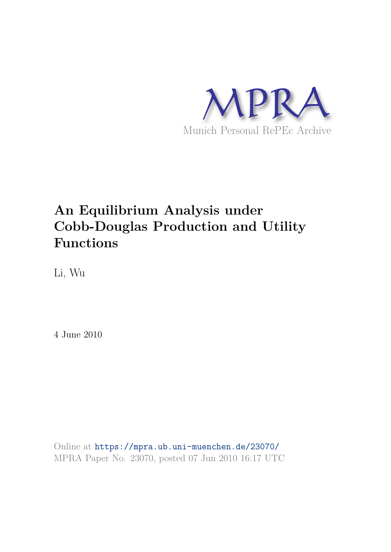

# **An Equilibrium Analysis under Cobb-Douglas Production and Utility Functions**

Li, Wu

4 June 2010

Online at https://mpra.ub.uni-muenchen.de/23070/ MPRA Paper No. 23070, posted 07 Jun 2010 16:17 UTC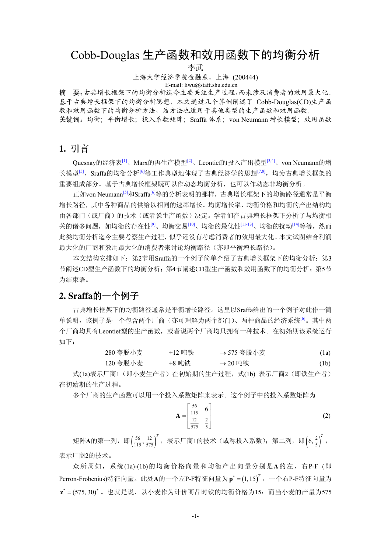# Cobb-Douglas 生产函数和效用函数下的均衡分析

李武

上海大学经济学院金融系,上海 (200444) E-mail: liwu@staff.shu.edu.cn

摘 要:古典增长框架下的均衡分析迄今主要关注生产过程,而未涉及消费者的效用最大化。 基于古典增长框架下的均衡分析思想,本文通过几个算例阐述了 Cobb-Douglas(CD)生产函 数和效用函数下的均衡分析方法,该方法也适用于其他类型的生产函数和效用函数。 关键词:均衡;平衡增长;投入系数矩阵;Sraffa 体系;von Neumann 增长模型;效用函数

## **1.** 引言

Quesnay的经济表[1]、Marx的再生产模型[2]、Leontief的投入产出模型[3,4]、von Neumann的增 长模型<sup>[5]</sup>、Sraffa的均衡分析<sup>[6]</sup>等工作典型地体现了古典经济学的思想[7,8], 均为古典增长框架的 重要组成部分。基于古典增长框架既可以作动态均衡分析,也可以作动态非均衡分析。

正如von Neumann<sup>[5]</sup>和Sraffa<sup>[6]</sup>等的分析表明的那样, 古典增长框架下的均衡路径通常是平衡 增长路径,其中各种商品的供给以相同的速率增长。均衡增长率、均衡价格和均衡的产出结构均 由各部门(或厂商)的技术(或者说生产函数)决定。学者们在古典增长框架下分析了与均衡相 关的诸多问题,如均衡的存在性<sup>[9]</sup>、均衡交易<sup>[10]</sup>、均衡的最优性<sup>[11-13]</sup>、均衡的扰动<sup>[14]</sup>等等,然而 此类均衡分析迄今主要考察生产过程,似乎还没有考虑消费者的效用最大化。本文试图结合利润 最大化的厂商和效用最大化的消费者来讨论均衡路径(亦即平衡增长路径)。

本文结构安排如下: 第2节用Sraffa的一个例子简单介绍了古典增长框架下的均衡分析; 第3 节阐述CD型生产函数下的均衡分析;第4节阐述CD型生产函数和效用函数下的均衡分析;第5节 为结束语。

### **2. Sraffa**的一个例子

古典增长框架下的均衡路径通常是平衡增长路径。这里以Sraffa给出的一个例子对此作一简 单说明,该例子是一个包含两个厂商(亦可理解为两个部门)、两种商品的经济系统[6]。其中两 个厂商均具有Leontief型的生产函数,或者说两个厂商均只拥有一种技术。在初始期该系统运行 如下:

| 280 夸脱小麦 | +12 吨铁 | → 575 夸脱小麦          | (1a) |
|----------|--------|---------------------|------|
| 120 夸脱小麦 | +8 吨铁  | $\rightarrow$ 20 吨铁 | (1b) |

式(1a)表示厂商1(即小麦生产者)在初始期的生产过程,式(1b)表示厂商2(即铁生产者) 在初始期的生产过程。

多个厂商的生产函数可以用一个投入系数矩阵来表示。这个例子中的投入系数矩阵为

$$
\mathbf{A} = \begin{bmatrix} \frac{56}{115} & 6\\ \frac{12}{575} & \frac{2}{5} \end{bmatrix}
$$
 (2)

矩阵A的第一列,即 $\left(\frac{56}{115}, \frac{12}{575}\right)^{\!T}$ ,表示厂商1的技术(或称投入系数);第二列,即 $\left(6, \frac{2}{5}\right)^{\!T}$ , 表示厂商2的技术。

众所周知,系统(1a)-(1b)的均衡价格向量和均衡产出向量分别是**A**的左、右P-F (即 Perron-Frobenius)特征向量。此处A的一个左P-F特征向量为p\* =(1,15)<sup>r</sup> ,一个右P-F特征向量为  $\mathbf{z}^* = (575, 30)^T$ 。也就是说, 以小麦作为计价商品时铁的均衡价格为15; 而当小麦的产量为575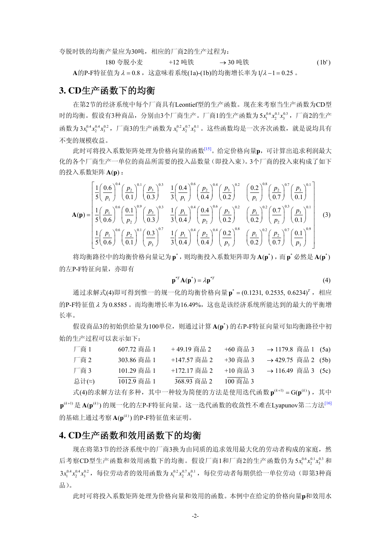夸脱时铁的均衡产量应为30吨,相应的厂商2的生产过程为:

180 夸脱小麦 +12 吨铁 → 30 吨铁 (1b') A的P-F特征值为  $\lambda$  = 0.8, 这意味着系统(1a)-(1b)的均衡增长率为1/2-1 = 0.25。

### **3. CD**生产函数下的均衡

在第2节的经济系统中每个厂商具有Leontief型的生产函数。现在来考察当生产函数为CD型 时的均衡。假设有3种商品,分别由3个厂商生产。厂商1的生产函数为5xg<sup>0.6</sup>xg<sup>0.1</sup>xg<sup>3</sup>,厂商2的生产 函数为3x $^{0.4}_{1}x^{0.2}_{2}$ , 厂商3的生产函数为x $^{0.2}_{1}x^{0.7}_{2}x^{0.1}_{3}$ 。这些函数均是一次齐次函数,就是说均具有 不变的规模收益。

此时可将投入系数矩阵处理为价格向量的函数[15]。给定价格向量**p**,可计算出追求利润最大 化的各个厂商生产一单位的商品所需要的投入品数量(即投入束)。3个厂商的投入束构成了如下 的投入系数矩阵 A(p):

$$
\mathbf{A(p)} = \begin{bmatrix} \frac{1}{5} \left( \frac{0.6}{p_1} \right)^{0.4} \left( \frac{p_2}{0.1} \right)^{0.1} \left( \frac{p_3}{0.3} \right)^{0.3} & \frac{1}{3} \left( \frac{0.4}{p_1} \right)^{0.6} \left( \frac{p_2}{0.4} \right)^{0.4} \left( \frac{p_3}{0.2} \right)^{0.2} & \left( \frac{0.2}{p_1} \right)^{0.8} \left( \frac{p_2}{0.7} \right)^{0.7} \left( \frac{p_3}{0.1} \right)^{0.1} \\ \frac{1}{5} \left( \frac{p_1}{0.6} \right)^{0.6} \left( \frac{0.1}{p_2} \right)^{0.9} \left( \frac{p_3}{0.3} \right)^{0.3} & \frac{1}{3} \left( \frac{p_1}{0.4} \right)^{0.4} \left( \frac{0.4}{p_2} \right)^{0.6} \left( \frac{p_3}{0.2} \right)^{0.2} & \left( \frac{p_1}{0.2} \right)^{0.2} \left( \frac{0.7}{p_2} \right)^{0.3} \left( \frac{p_3}{0.1} \right)^{0.1} \\ \frac{1}{5} \left( \frac{p_1}{0.6} \right)^{0.6} \left( \frac{p_2}{0.1} \right)^{0.1} \left( \frac{0.3}{p_3} \right)^{0.7} & \frac{1}{3} \left( \frac{p_1}{0.4} \right)^{0.4} \left( \frac{p_2}{0.4} \right)^{0.4} \left( \frac{0.2}{p_3} \right)^{0.8} & \left( \frac{p_1}{0.2} \right)^{0.2} \left( \frac{p_2}{0.7} \right)^{0.7} \left( \frac{0.1}{p_3} \right)^{0.9} \end{bmatrix} \tag{3}
$$

将均衡路径中的均衡价格向量记为p<sup>\*</sup>,则均衡投入系数矩阵即为A(p<sup>\*</sup>),而p<sup>\*</sup>必然是A(p<sup>\*</sup>) 的左P-F特征向量,亦即有

$$
\mathbf{p}^{*T} \mathbf{A}(\mathbf{p}^*) = \lambda \mathbf{p}^{*T} \tag{4}
$$

通过求解式(4)即可得到惟一的规一化的均衡价格向量 **p**\* =(0.1231, 0.2535, 0.6234)<sup>r</sup> ,相应 的P-F特征值 2 为 0.8585 。而均衡增长率为16.49%,这也是该经济系统所能达到的最大的平衡增 长率。

假设商品3的初始供给量为100单位,则通过计算 A(p<sup>\*</sup>) 的右P-F特征向量可知均衡路径中初 始的生产过程可以表示如下:

| 厂商1            | 607.72 商品 1 | +49.19 商品 2  |          | +60 商品 3 → 1179.8 商品 1 (5a) |
|----------------|-------------|--------------|----------|-----------------------------|
| 厂商2            | 303.86 商品 1 | +147.57 商品 2 |          | +30 商品 3 → 429.75 商品 2 (5b) |
| 厂商 3           | 101.29 商品 1 | +172.17 商品 2 | +10 商品 3 | → 116.49 商品 3 (5c)          |
| 总计 $(\approx)$ | 1012.9 商品 1 | 368.93 商品 2  | 100 商品 3 |                             |

式(4)的求解方法有多种, 其中一种较为简便的方法是使用迭代函数 p<sup>(k+1)</sup> = G(p<sup>(k)</sup>), 其中  $\mathbf{p}^{(k+1)}$ 是A( $\mathbf{p}^{(k)}$ )的规一化的左P-F特征向量。这一迭代函数的收敛性不难在Lyapunov第二方法<sup>[16]</sup> 的基础上通过考察 A(p<sup>(k)</sup>) 的P-F特征值来证明。

#### **4. CD**生产函数和效用函数下的均衡

现在将第3节的经济系统中的厂商3换为由同质的追求效用最大化的劳动者构成的家庭,然 后考察CD型生产函数和效用函数下的均衡。假设厂商1和厂商2的生产函数仍为5x<sup>0.6</sup>x2·x<sub>3</sub>3和  $3x_{\rm i}^{0.4}x_{\rm 2}^{0.2}$ ,每位劳动者的效用函数为 $x_{\rm i}^{0.2}x_{\rm 2}^{0.7}x_{\rm 3}^{0.1}$ ,每位劳动者每期供给一单位劳动(即第3种商 品)。

此时可将投入系数矩阵处理为价格向量和效用的函数。本例中在给定的价格向量**p**和效用水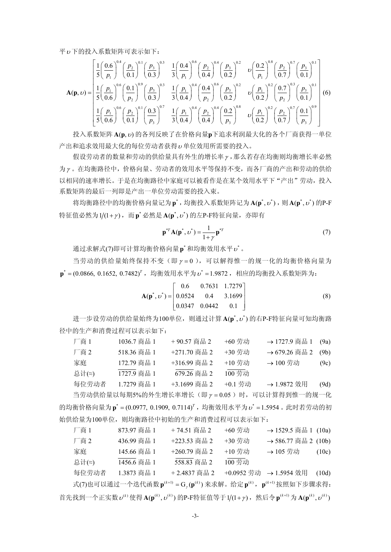平 υ 下的投入系数矩阵可表示如下:

$$
\mathbf{A}(\mathbf{p},\nu) = \begin{bmatrix} \frac{1}{5} \left( \frac{0.6}{p_1} \right)^{0.4} \left( \frac{p_2}{0.1} \right)^{0.1} \left( \frac{p_3}{0.3} \right)^{0.3} & \frac{1}{3} \left( \frac{0.4}{p_1} \right)^{0.6} \left( \frac{p_2}{0.4} \right)^{0.4} \left( \frac{p_3}{0.2} \right)^{0.2} & \nu \left( \frac{0.2}{p_1} \right)^{0.8} \left( \frac{p_2}{0.1} \right)^{0.7} \left( \frac{p_3}{0.1} \right)^{0.1} \\ \frac{1}{5} \left( \frac{p_1}{0.6} \right)^{0.6} \left( \frac{0.1}{p_2} \right)^{0.9} \left( \frac{p_3}{0.3} \right)^{0.3} & \frac{1}{3} \left( \frac{p_1}{0.4} \right)^{0.4} \left( \frac{0.4}{p_2} \right)^{0.6} \left( \frac{p_3}{0.2} \right)^{0.2} & \nu \left( \frac{p_1}{0.2} \right)^{0.2} \left( \frac{0.7}{p_2} \right)^{0.3} \left( \frac{p_3}{0.1} \right)^{0.1} \\ \frac{1}{5} \left( \frac{p_1}{0.6} \right)^{0.6} \left( \frac{p_2}{0.1} \right)^{0.1} \left( \frac{0.3}{p_3} \right)^{0.7} & \frac{1}{3} \left( \frac{p_1}{0.4} \right)^{0.4} \left( \frac{p_2}{0.4} \right)^{0.4} \left( \frac{0.2}{p_3} \right)^{0.8} & \nu \left( \frac{p_1}{0.2} \right)^{0.2} \left( \frac{p_2}{0.7} \right)^{0.7} \left( \frac{0.1}{p_3} \right)^{0.9} \end{bmatrix}
$$
(6)

投入系数矩阵 A(p, v) 的各列反映了在价格向量p下追求利润最大化的各个厂商获得一单位 产出和追求效用最大化的每位劳动者获得 单位效用所需要的投入。

假设劳动者的数量和劳动的供给量具有外生的增长率  $\nu$ ,那么若存在均衡则均衡增长率必然 为 。在均衡路径中,价格向量、劳动者的效用水平等保持不变,而各厂商的产出和劳动的供给 以相同的速率增长。于是在均衡路径中家庭可以被看作是在某个效用水平下"产出"劳动,投入 系数矩阵的最后一列即是产出一单位劳动需要的投入束。

将均衡路径中的均衡价格向量记为p<sup>\*</sup>,均衡投入系数矩阵记为 $A(p^*, v^*)$ ,则 $A(p^*, v^*)$ 的P-F 特征值必然为1/(1+*γ*),而p\*必然是A(p\*,v\*)的左P-F特征向量,亦即有

$$
\mathbf{p}^{*T} \mathbf{A}(\mathbf{p}^*, \boldsymbol{\upsilon}^*) = \frac{1}{1+\gamma} \mathbf{p}^{*T}
$$
 (7)

通过求解式(7)即可计算均衡价格向量p<sup>\*</sup>和均衡效用水平 v<sup>\*</sup>。

当劳动的供给量始终保持不变(即  $\gamma = 0$ ),可以解得惟一的规一化的均衡价格向量为  $\mathbf{p}^*$  =(0.0866, 0.1652, 0.7482)<sup>r</sup> , 均衡效用水平为  $\upsilon^*$  =1.9872 ,相应的均衡投入系数矩阵为:

$$
\mathbf{A}(\mathbf{p}^*, \nu^*) = \begin{bmatrix} 0.6 & 0.7631 & 1.7279 \\ 0.0524 & 0.4 & 3.1699 \\ 0.0347 & 0.0442 & 0.1 \end{bmatrix}
$$
(8)

进一步设劳动的供给量始终为100单位,则通过计算A(p<sup>\*</sup>, v<sup>\*</sup>) 的右P-F特征向量可知均衡路 径中的生产和消费过程可以表示如下:

| 厂商1            | 1036.7 商品 1 | +90.57 商品 2  | +60 劳动  | → 1727.9 商品 1                                          | (9a) |
|----------------|-------------|--------------|---------|--------------------------------------------------------|------|
| 厂商 2           | 518.36 商品 1 | +271.70 商品 2 | +30 劳动  | → 679.26 商品 2                                          | (9b) |
| 家庭             | 172.79 商品 1 | +316.99 商品 2 | +10 劳动  | → 100 劳动                                               | (9c) |
| 总计 $(\approx)$ | 1727.9 商品 1 | 679.26 商品 2  | 100 劳动  |                                                        |      |
| 每位劳动者          | 1.7279 商品 1 | +3.1699 商品 2 | +0.1 劳动 | → 1.9872 效用                                            | (9d) |
|                |             |              |         | 当劳动供给量以每期5%的外生增长率增长(即 $\gamma = 0.05$ ) 时,可以计算得到惟一的规一化 |      |
|                |             |              |         |                                                        |      |

的均衡价格向量为p<sup>\*</sup> = (0.0977, 0.1909, 0.7114)<sup>T</sup>, 均衡效用水平为 v<sup>\*</sup> = 1.5954 。此时若劳动的初 始供给量为100单位,则均衡路径中初始的生产和消费过程可以表示如下:

| 厂商 1  | 873.97 商品 1 | +74.51 商品 2  | +60 劳动 | → 1529.5 商品 1 (10a)    |       |
|-------|-------------|--------------|--------|------------------------|-------|
| 厂商 2  | 436.99 商品 1 | +223.53 商品 2 | +30 劳动 | → 586.77 商品 2 (10b)    |       |
| 家庭    | 145.66 商品 1 | +260.79 商品 2 | +10 劳动 | $\rightarrow$ 105 劳动   | (10c) |
| 总计(~) | 1456.6 商品 1 | 558.83 商品 2  | 100 劳动 |                        |       |
| 每位劳动者 | 1.3873 商品 1 | +2.4837 商品 2 |        | +0.0952 劳动 → 1.5954 效用 | (10d) |
|       |             |              |        |                        |       |

式(7)也可以通过一个迭代函数 $\mathbf{p}^{(k+1)} = G_{\gamma}(\mathbf{p}^{(k)})$ 来求解。给定 $\mathbf{p}^{(k)}$ , $\mathbf{p}^{(k+1)}$ 按照如下步骤求得: 首先找到一个正实数  $v^{(k)}$  使得  $A(p^{(k)}, v^{(k)})$  的P-F特征值等于 1/(1+  $\gamma$ ) ,然后令  $p^{(k+1)}$  为  $A(p^{(k)}, v^{(k)})$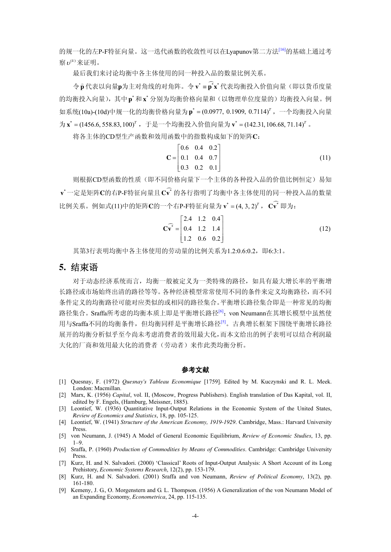的规一化的左P-F特征向量。这一迭代函数的收敛性可以在Lvapunov第二方法<sup>[16]</sup>的基础上通过考 察 $\nu^{(k)}$ 来证明。

最后我们来讨论均衡中各主体使用的同一种投入品的数量比例关系。

 $\diamond$   $\hat{\mathbf{p}}$ 代表以向量p为主对角线的对角阵。令 v<sup>\*</sup> =  $\widehat{\mathbf{p}}^*$ x 代表均衡投入价值向量(即以货币度量 的均衡投入向量), 其中p\*和x\*分别为均衡价格向量和(以物理单位度量的)均衡投入向量。例 如系统(10a)-(10d)中规一化的均衡价格向量为 **p**\* = (0.0977, 0.1909, 0.7114)<sup>T</sup> , 一个均衡投入向量 为  $\textbf{x}^* = (1456.6, 558.83, 100)^T$  ,于是一个均衡投入价值向量为  $\textbf{v}^* = (142.31, 106.68, 71.14)^T$  。

将各主体的CD型生产函数和效用函数中的指数构成如下的矩阵**C**:

$$
\mathbf{C} = \begin{bmatrix} 0.6 & 0.4 & 0.2 \\ 0.1 & 0.4 & 0.7 \\ 0.3 & 0.2 & 0.1 \end{bmatrix}
$$
 (11)

则根据CD型函数的性质(即不同价格向量下一个主体的各种投入品的价值比例恒定)易知  $\mathbf{v}^*$ 一定是矩阵C的右P-F特征向量且C $\widehat{\mathbf{v}^*}$ 的各行指明了均衡中各主体使用的同一种投入品的数量 比例关系。例如式(11)中的矩阵C的一个右P-F特征向量为 $\mathbf{v}^* = (4, 3, 2)^T$ ,  $\mathbf{C} \widehat{\mathbf{v}}^*$ 即为:

$$
\mathbf{C}\widehat{\mathbf{v}^*} = \begin{bmatrix} 2.4 & 1.2 & 0.4 \\ 0.4 & 1.2 & 1.4 \\ 1.2 & 0.6 & 0.2 \end{bmatrix}
$$
 (12)

其第3行表明均衝中各主体使用的劳动量的比例关系为12:0.6:0.2,即6:3:1。

#### **5.** 结束语

对于动态经济系统而言,均衡一般被定义为一类特殊的路径,如具有最大增长率的平衡增 长路径或市场始终出清的路径等等。各种经济模型常常使用不同的条件来定义均衡路径,而不同 条件定义的均衡路径可能对应类似的或相同的路径集合。平衡增长路径集合即是一种常见的均衡 路径集合。Sraffa所考虑的均衡本质上即是平衡增长路径<sup>[6]</sup>; von Neumann在其增长模型中虽然使 用与Sraffa不同的均衡条件,但均衡同样是平衡增长路径<sup>[5]</sup>。古典增长框架下围绕平衡增长路径 展开的均衡分析似乎至今尚未考虑消费者的效用最大化,而本文给出的例子表明可以结合利润最 大化的厂商和效用最大化的消费者(劳动者)来作此类均衡分析。

#### 参考文献

- [1] Quesnay, F. (1972) *Quesnay's Tableau Economique* [1759]. Edited by M. Kuczynski and R. L. Meek. London: Macmillan.
- [2] Marx, K. (1956) *Capital*, vol. II, (Moscow, Progress Publishers). English translation of Das Kapital, vol. II, edited by F. Engels, (Hamburg, Meissner, 1885).
- [3] Leontief, W. (1936) Quantitative Input-Output Relations in the Economic System of the United States, *Review of Economics and Statistics*, 18, pp. 105-125.
- [4] Leontief, W. (1941) *Structure of the American Economy, 1919-1929*. Cambridge, Mass.: Harvard University Press.
- [5] von Neumann, J. (1945) A Model of General Economic Equilibrium, *Review of Economic Studies*, 13, pp.  $1 - 9$
- [6] Sraffa, P. (1960) *Production of Commodities by Means of Commodities*. Cambridge: Cambridge University Press.
- [7] Kurz, H. and N. Salvadori. (2000) 'Classical' Roots of Input-Output Analysis: A Short Account of its Long Prehistory, *Economic Systems Research*, 12(2), pp. 153-179.
- [8] Kurz, H. and N. Salvadori. (2001) Sraffa and von Neumann, *Review of Political Economy*, 13(2), pp. 161-180.
- [9] Kemeny, J. G., O. Morgenstern and G. L. Thompson. (1956) A Generalization of the von Neumann Model of an Expanding Economy, *Econometrica*, 24, pp. 115-135.